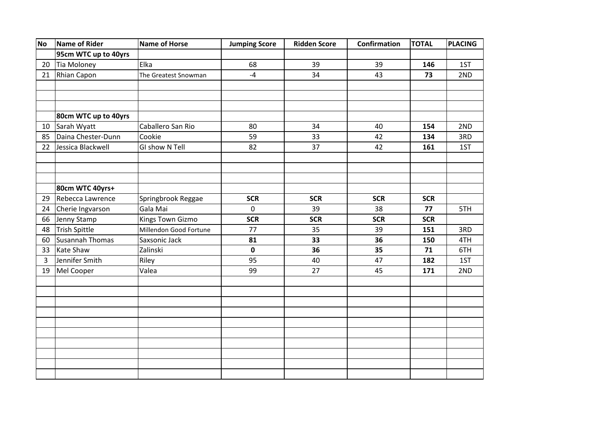| <b>No</b> | Name of Rider          | <b>Name of Horse</b>   | <b>Jumping Score</b> | <b>Ridden Score</b> | <b>Confirmation</b> | <b>TOTAL</b> | PLACING |
|-----------|------------------------|------------------------|----------------------|---------------------|---------------------|--------------|---------|
|           | 95cm WTC up to 40yrs   |                        |                      |                     |                     |              |         |
| 20        | Tia Moloney            | Elka                   | 68                   | 39                  | 39                  | 146          | 1ST     |
| 21        | <b>Rhian Capon</b>     | The Greatest Snowman   | $-4$                 | 34                  | 43                  | 73           | 2ND     |
|           |                        |                        |                      |                     |                     |              |         |
|           |                        |                        |                      |                     |                     |              |         |
|           |                        |                        |                      |                     |                     |              |         |
|           | 80cm WTC up to 40yrs   |                        |                      |                     |                     |              |         |
| 10        | Sarah Wyatt            | Caballero San Rio      | 80                   | 34                  | 40                  | 154          | 2ND     |
| 85        | Daina Chester-Dunn     | Cookie                 | 59                   | 33                  | 42                  | 134          | 3RD     |
| 22        | Jessica Blackwell      | GI show N Tell         | 82                   | 37                  | 42                  | 161          | 1ST     |
|           |                        |                        |                      |                     |                     |              |         |
|           |                        |                        |                      |                     |                     |              |         |
|           |                        |                        |                      |                     |                     |              |         |
|           | 80cm WTC 40yrs+        |                        |                      |                     |                     |              |         |
| 29        | Rebecca Lawrence       | Springbrook Reggae     | <b>SCR</b>           | <b>SCR</b>          | <b>SCR</b>          | <b>SCR</b>   |         |
| 24        | Cherie Ingvarson       | Gala Mai               | $\mathbf 0$          | 39                  | 38                  | 77           | 5TH     |
| 66        | Jenny Stamp            | Kings Town Gizmo       | <b>SCR</b>           | <b>SCR</b>          | <b>SCR</b>          | <b>SCR</b>   |         |
| 48        | <b>Trish Spittle</b>   | Millendon Good Fortune | 77                   | 35                  | 39                  | 151          | 3RD     |
| 60        | <b>Susannah Thomas</b> | Saxsonic Jack          | 81                   | 33                  | 36                  | 150          | 4TH     |
| 33        | <b>Kate Shaw</b>       | Zalinski               | $\mathbf 0$          | 36                  | 35                  | 71           | 6TH     |
| 3         | Jennifer Smith         | Riley                  | 95                   | 40                  | 47                  | 182          | 1ST     |
| 19        | Mel Cooper             | Valea                  | 99                   | 27                  | 45                  | 171          | 2ND     |
|           |                        |                        |                      |                     |                     |              |         |
|           |                        |                        |                      |                     |                     |              |         |
|           |                        |                        |                      |                     |                     |              |         |
|           |                        |                        |                      |                     |                     |              |         |
|           |                        |                        |                      |                     |                     |              |         |
|           |                        |                        |                      |                     |                     |              |         |
|           |                        |                        |                      |                     |                     |              |         |
|           |                        |                        |                      |                     |                     |              |         |
|           |                        |                        |                      |                     |                     |              |         |
|           |                        |                        |                      |                     |                     |              |         |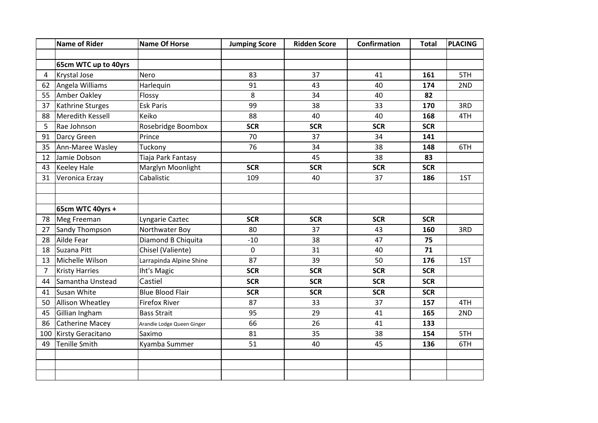|     | <b>Name of Rider</b>  | <b>Name Of Horse</b>       | <b>Jumping Score</b> | <b>Ridden Score</b> | Confirmation | <b>Total</b> | <b>PLACING</b> |
|-----|-----------------------|----------------------------|----------------------|---------------------|--------------|--------------|----------------|
|     |                       |                            |                      |                     |              |              |                |
|     | 65cm WTC up to 40yrs  |                            |                      |                     |              |              |                |
| 4   | Krystal Jose          | Nero                       | 83                   | 37                  | 41           | 161          | 5TH            |
| 62  | Angela Williams       | Harlequin                  | 91                   | 43                  | 40           | 174          | 2ND            |
| 55  | Amber Oakley          | Flossy                     | 8                    | 34                  | 40           | 82           |                |
| 37  | Kathrine Sturges      | <b>Esk Paris</b>           | 99                   | 38                  | 33           | 170          | 3RD            |
| 88  | Meredith Kessell      | Keiko                      | 88                   | 40                  | 40           | 168          | 4TH            |
| 5   | Rae Johnson           | Rosebridge Boombox         | <b>SCR</b>           | <b>SCR</b>          | <b>SCR</b>   | <b>SCR</b>   |                |
| 91  | Darcy Green           | Prince                     | 70                   | 37                  | 34           | 141          |                |
| 35  | Ann-Maree Wasley      | Tuckony                    | 76                   | 34                  | 38           | 148          | 6TH            |
| 12  | Jamie Dobson          | Tiaja Park Fantasy         |                      | 45                  | 38           | 83           |                |
| 43  | <b>Keeley Hale</b>    | Marglyn Moonlight          | <b>SCR</b>           | <b>SCR</b>          | <b>SCR</b>   | <b>SCR</b>   |                |
| 31  | Veronica Erzay        | Cabalistic                 | 109                  | 40                  | 37           | 186          | 1ST            |
|     |                       |                            |                      |                     |              |              |                |
|     |                       |                            |                      |                     |              |              |                |
|     | 65cm WTC 40yrs +      |                            |                      |                     |              |              |                |
| 78  | Meg Freeman           | Lyngarie Caztec            | <b>SCR</b>           | <b>SCR</b>          | <b>SCR</b>   | <b>SCR</b>   |                |
| 27  | Sandy Thompson        | Northwater Boy             | 80                   | 37                  | 43           | 160          | 3RD            |
| 28  | Ailde Fear            | Diamond B Chiquita         | $-10$                | 38                  | 47           | 75           |                |
| 18  | Suzana Pitt           | Chisel (Valiente)          | $\mathbf 0$          | 31                  | 40           | 71           |                |
| 13  | Michelle Wilson       | Larrapinda Alpine Shine    | 87                   | 39                  | 50           | 176          | 1ST            |
| 7   | <b>Kristy Harries</b> | Iht's Magic                | <b>SCR</b>           | <b>SCR</b>          | <b>SCR</b>   | <b>SCR</b>   |                |
| 44  | Samantha Unstead      | Castiel                    | <b>SCR</b>           | <b>SCR</b>          | <b>SCR</b>   | <b>SCR</b>   |                |
| 41  | Susan White           | <b>Blue Blood Flair</b>    | <b>SCR</b>           | <b>SCR</b>          | <b>SCR</b>   | <b>SCR</b>   |                |
| 50  | Allison Wheatley      | <b>Firefox River</b>       | 87                   | 33                  | 37           | 157          | 4TH            |
| 45  | Gillian Ingham        | <b>Bass Strait</b>         | 95                   | 29                  | 41           | 165          | 2ND            |
| 86  | Catherine Macey       | Arandle Lodge Queen Ginger | 66                   | 26                  | 41           | 133          |                |
| 100 | Kirsty Geracitano     | Saximo                     | 81                   | 35                  | 38           | 154          | 5TH            |
| 49  | <b>Tenille Smith</b>  | Kyamba Summer              | 51                   | 40                  | 45           | 136          | 6TH            |
|     |                       |                            |                      |                     |              |              |                |
|     |                       |                            |                      |                     |              |              |                |
|     |                       |                            |                      |                     |              |              |                |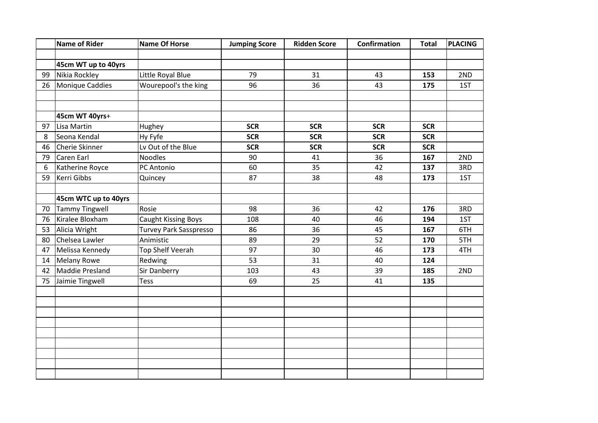|    | <b>Name of Rider</b>  | <b>Name Of Horse</b>       | <b>Jumping Score</b> | <b>Ridden Score</b> | Confirmation | <b>Total</b> | <b>PLACING</b> |
|----|-----------------------|----------------------------|----------------------|---------------------|--------------|--------------|----------------|
|    |                       |                            |                      |                     |              |              |                |
|    | 45cm WT up to 40yrs   |                            |                      |                     |              |              |                |
| 99 | Nikia Rockley         | Little Royal Blue          | 79                   | 31                  | 43           | 153          | 2ND            |
| 26 | Monique Caddies       | Wourepool's the king       | 96                   | 36                  | 43           | 175          | 1ST            |
|    |                       |                            |                      |                     |              |              |                |
|    |                       |                            |                      |                     |              |              |                |
|    | 45cm WT 40yrs+        |                            |                      |                     |              |              |                |
| 97 | Lisa Martin           | Hughey                     | <b>SCR</b>           | <b>SCR</b>          | <b>SCR</b>   | <b>SCR</b>   |                |
| 8  | Seona Kendal          | Hy Fyfe                    | <b>SCR</b>           | <b>SCR</b>          | <b>SCR</b>   | <b>SCR</b>   |                |
| 46 | Cherie Skinner        | Lv Out of the Blue         | <b>SCR</b>           | <b>SCR</b>          | <b>SCR</b>   | <b>SCR</b>   |                |
| 79 | Caren Earl            | <b>Noodles</b>             | 90                   | 41                  | 36           | 167          | 2ND            |
| 6  | Katherine Royce       | PC Antonio                 | 60                   | 35                  | 42           | 137          | 3RD            |
| 59 | Kerri Gibbs           | Quincey                    | 87                   | 38                  | 48           | 173          | 1ST            |
|    |                       |                            |                      |                     |              |              |                |
|    | 45cm WTC up to 40yrs  |                            |                      |                     |              |              |                |
| 70 | <b>Tammy Tingwell</b> | Rosie                      | 98                   | 36                  | 42           | 176          | 3RD            |
| 76 | Kiralee Bloxham       | <b>Caught Kissing Boys</b> | 108                  | 40                  | 46           | 194          | 1ST            |
| 53 | Alicia Wright         | Turvey Park Sasspresso     | 86                   | 36                  | 45           | 167          | 6TH            |
| 80 | Chelsea Lawler        | Animistic                  | 89                   | 29                  | 52           | 170          | 5TH            |
| 47 | Melissa Kennedy       | Top Shelf Veerah           | 97                   | 30                  | 46           | 173          | 4TH            |
| 14 | <b>Melany Rowe</b>    | Redwing                    | 53                   | 31                  | 40           | 124          |                |
| 42 | Maddie Presland       | Sir Danberry               | 103                  | 43                  | 39           | 185          | 2ND            |
| 75 | Jaimie Tingwell       | <b>Tess</b>                | 69                   | 25                  | 41           | 135          |                |
|    |                       |                            |                      |                     |              |              |                |
|    |                       |                            |                      |                     |              |              |                |
|    |                       |                            |                      |                     |              |              |                |
|    |                       |                            |                      |                     |              |              |                |
|    |                       |                            |                      |                     |              |              |                |
|    |                       |                            |                      |                     |              |              |                |
|    |                       |                            |                      |                     |              |              |                |
|    |                       |                            |                      |                     |              |              |                |
|    |                       |                            |                      |                     |              |              |                |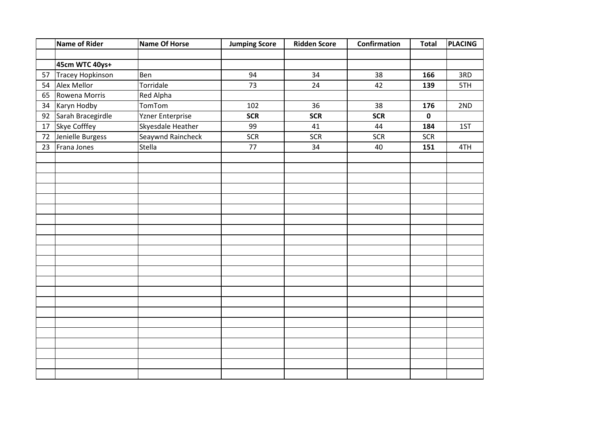|    | Name of Rider     | <b>Name Of Horse</b> | <b>Jumping Score</b> | <b>Ridden Score</b> | Confirmation | <b>Total</b> | PLACING |
|----|-------------------|----------------------|----------------------|---------------------|--------------|--------------|---------|
|    |                   |                      |                      |                     |              |              |         |
|    | 45cm WTC 40ys+    |                      |                      |                     |              |              |         |
| 57 | Tracey Hopkinson  | Ben                  | 94                   | 34                  | 38           | 166          | 3RD     |
| 54 | Alex Mellor       | Torridale            | 73                   | 24                  | 42           | 139          | 5TH     |
| 65 | Rowena Morris     | Red Alpha            |                      |                     |              |              |         |
| 34 | Karyn Hodby       | TomTom               | 102                  | 36                  | 38           | 176          | 2ND     |
| 92 | Sarah Bracegirdle | Yzner Enterprise     | <b>SCR</b>           | <b>SCR</b>          | <b>SCR</b>   | $\pmb{0}$    |         |
| 17 | Skye Cofffey      | Skyesdale Heather    | 99                   | 41                  | 44           | 184          | 1ST     |
| 72 | Jenielle Burgess  | Seaywnd Raincheck    | <b>SCR</b>           | <b>SCR</b>          | <b>SCR</b>   | <b>SCR</b>   |         |
| 23 | Frana Jones       | Stella               | 77                   | 34                  | 40           | 151          | 4TH     |
|    |                   |                      |                      |                     |              |              |         |
|    |                   |                      |                      |                     |              |              |         |
|    |                   |                      |                      |                     |              |              |         |
|    |                   |                      |                      |                     |              |              |         |
|    |                   |                      |                      |                     |              |              |         |
|    |                   |                      |                      |                     |              |              |         |
|    |                   |                      |                      |                     |              |              |         |
|    |                   |                      |                      |                     |              |              |         |
|    |                   |                      |                      |                     |              |              |         |
|    |                   |                      |                      |                     |              |              |         |
|    |                   |                      |                      |                     |              |              |         |
|    |                   |                      |                      |                     |              |              |         |
|    |                   |                      |                      |                     |              |              |         |
|    |                   |                      |                      |                     |              |              |         |
|    |                   |                      |                      |                     |              |              |         |
|    |                   |                      |                      |                     |              |              |         |
|    |                   |                      |                      |                     |              |              |         |
|    |                   |                      |                      |                     |              |              |         |
|    |                   |                      |                      |                     |              |              |         |
|    |                   |                      |                      |                     |              |              |         |
|    |                   |                      |                      |                     |              |              |         |
|    |                   |                      |                      |                     |              |              |         |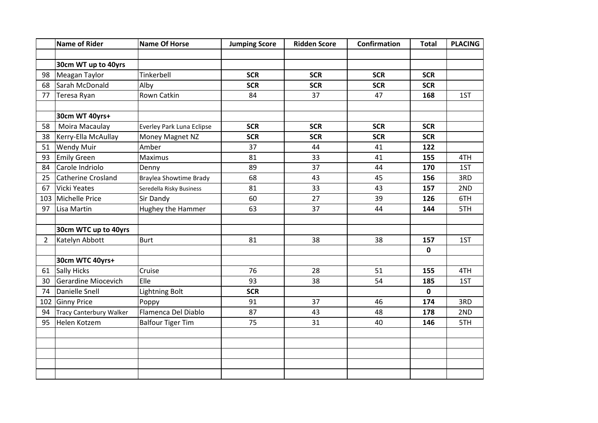|                | <b>Name of Rider</b>           | <b>Name Of Horse</b>      | <b>Jumping Score</b> | <b>Ridden Score</b> | <b>Confirmation</b> | <b>Total</b> | <b>PLACING</b> |
|----------------|--------------------------------|---------------------------|----------------------|---------------------|---------------------|--------------|----------------|
|                |                                |                           |                      |                     |                     |              |                |
|                | 30cm WT up to 40yrs            |                           |                      |                     |                     |              |                |
| 98             | Meagan Taylor                  | Tinkerbell                | <b>SCR</b>           | <b>SCR</b>          | <b>SCR</b>          | <b>SCR</b>   |                |
| 68             | Sarah McDonald                 | Alby                      | <b>SCR</b>           | <b>SCR</b>          | <b>SCR</b>          | <b>SCR</b>   |                |
| 77             | Teresa Ryan                    | <b>Rown Catkin</b>        | 84                   | 37                  | 47                  | 168          | 1ST            |
|                |                                |                           |                      |                     |                     |              |                |
|                | 30cm WT 40yrs+                 |                           |                      |                     |                     |              |                |
| 58             | Moira Macaulay                 | Everley Park Luna Eclipse | <b>SCR</b>           | <b>SCR</b>          | <b>SCR</b>          | <b>SCR</b>   |                |
| 38             | Kerry-Ella McAullay            | Money Magnet NZ           | <b>SCR</b>           | <b>SCR</b>          | <b>SCR</b>          | <b>SCR</b>   |                |
| 51             | <b>Wendy Muir</b>              | Amber                     | 37                   | 44                  | 41                  | 122          |                |
| 93             | <b>Emily Green</b>             | Maximus                   | 81                   | 33                  | 41                  | 155          | 4TH            |
| 84             | Carole Indriolo                | Denny                     | 89                   | 37                  | 44                  | 170          | 1ST            |
| 25             | Catherine Crosland             | Braylea Showtime Brady    | 68                   | 43                  | 45                  | 156          | 3RD            |
| 67             | Vicki Yeates                   | Seredella Risky Business  | 81                   | 33                  | 43                  | 157          | 2ND            |
| 103            | Michelle Price                 | Sir Dandy                 | 60                   | 27                  | 39                  | 126          | 6TH            |
| 97             | Lisa Martin                    | <b>Hughey the Hammer</b>  | 63                   | 37                  | 44                  | 144          | 5TH            |
|                |                                |                           |                      |                     |                     |              |                |
|                | 30cm WTC up to 40yrs           |                           |                      |                     |                     |              |                |
| $\overline{2}$ | Katelyn Abbott                 | <b>Burt</b>               | 81                   | 38                  | 38                  | 157          | 1ST            |
|                |                                |                           |                      |                     |                     | $\mathbf 0$  |                |
|                | 30cm WTC 40yrs+                |                           |                      |                     |                     |              |                |
| 61             | Sally Hicks                    | Cruise                    | 76                   | 28                  | 51                  | 155          | 4TH            |
| 30             | Gerardine Miocevich            | Elle                      | 93                   | 38                  | 54                  | 185          | 1ST            |
| 74             | Danielle Snell                 | <b>Lightning Bolt</b>     | <b>SCR</b>           |                     |                     | $\mathbf 0$  |                |
|                | 102 Ginny Price                | Poppy                     | 91                   | 37                  | 46                  | 174          | 3RD            |
| 94             | <b>Tracy Canterbury Walker</b> | Flamenca Del Diablo       | 87                   | 43                  | 48                  | 178          | 2ND            |
| 95             | Helen Kotzem                   | <b>Balfour Tiger Tim</b>  | 75                   | 31                  | 40                  | 146          | 5TH            |
|                |                                |                           |                      |                     |                     |              |                |
|                |                                |                           |                      |                     |                     |              |                |
|                |                                |                           |                      |                     |                     |              |                |
|                |                                |                           |                      |                     |                     |              |                |
|                |                                |                           |                      |                     |                     |              |                |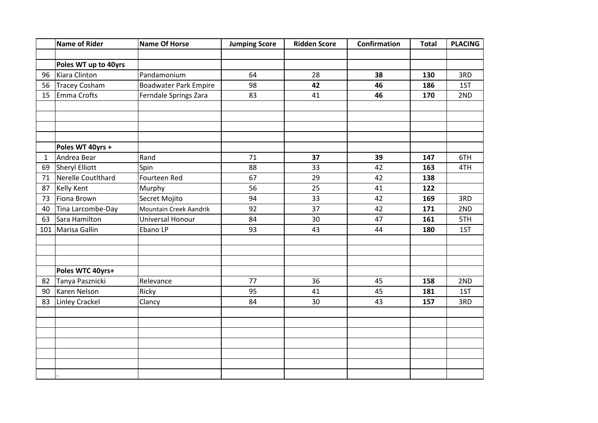|     | <b>Name of Rider</b> | <b>Name Of Horse</b>         | <b>Jumping Score</b> | <b>Ridden Score</b> | Confirmation | <b>Total</b> | <b>PLACING</b> |
|-----|----------------------|------------------------------|----------------------|---------------------|--------------|--------------|----------------|
|     |                      |                              |                      |                     |              |              |                |
|     | Poles WT up to 40yrs |                              |                      |                     |              |              |                |
| 96  | Kiara Clinton        | Pandamonium                  | 64                   | 28                  | 38           | 130          | 3RD            |
| 56  | <b>Tracey Cosham</b> | <b>Boadwater Park Empire</b> | 98                   | 42                  | 46           | 186          | 1ST            |
| 15  | Emma Crofts          | Ferndale Springs Zara        | 83                   | 41                  | 46           | 170          | 2ND            |
|     |                      |                              |                      |                     |              |              |                |
|     |                      |                              |                      |                     |              |              |                |
|     |                      |                              |                      |                     |              |              |                |
|     |                      |                              |                      |                     |              |              |                |
|     | Poles WT 40yrs +     |                              |                      |                     |              |              |                |
| 1   | Andrea Bear          | Rand                         | 71                   | 37                  | 39           | 147          | 6TH            |
| 69  | Sheryl Elliott       | Spin                         | 88                   | 33                  | 42           | 163          | 4TH            |
| 71  | Nerelle CoutIthard   | Fourteen Red                 | 67                   | 29                  | 42           | 138          |                |
| 87  | <b>Kelly Kent</b>    | Murphy                       | 56                   | 25                  | 41           | 122          |                |
| 73  | Fiona Brown          | Secret Mojito                | 94                   | 33                  | 42           | 169          | 3RD            |
| 40  | Tina Larcombe-Day    | Mountain Creek Aandrik       | 92                   | 37                  | 42           | 171          | 2ND            |
| 63  | Sara Hamilton        | Universal Honour             | 84                   | 30                  | 47           | 161          | 5TH            |
| 101 | Marisa Gallin        | Ebano LP                     | 93                   | 43                  | 44           | 180          | 1ST            |
|     |                      |                              |                      |                     |              |              |                |
|     |                      |                              |                      |                     |              |              |                |
|     |                      |                              |                      |                     |              |              |                |
|     | Poles WTC 40yrs+     |                              |                      |                     |              |              |                |
| 82  | Tanya Pasznicki      | Relevance                    | 77                   | 36                  | 45           | 158          | 2ND            |
| 90  | Karen Nelson         | Ricky                        | 95                   | 41                  | 45           | 181          | 1ST            |
| 83  | Linley Crackel       | Clancy                       | 84                   | 30                  | 43           | 157          | 3RD            |
|     |                      |                              |                      |                     |              |              |                |
|     |                      |                              |                      |                     |              |              |                |
|     |                      |                              |                      |                     |              |              |                |
|     |                      |                              |                      |                     |              |              |                |
|     |                      |                              |                      |                     |              |              |                |
|     |                      |                              |                      |                     |              |              |                |
|     |                      |                              |                      |                     |              |              |                |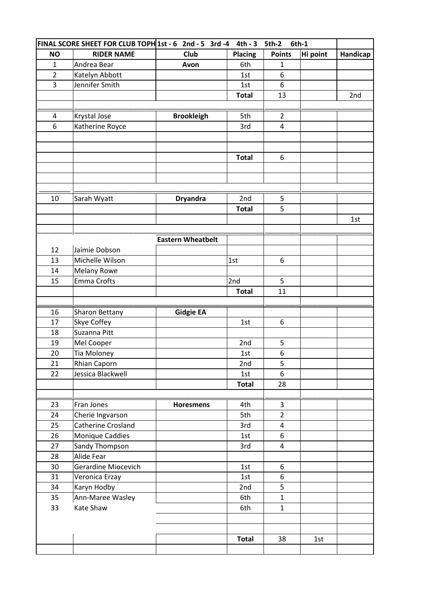| FINAL SCORE SHEET FOR CLUB TOPH 1st - 6 2nd - 5 3rd - 4 |                       |                          | $4th - 3$      | <b>5th-2</b>                 | 6th-1    |          |
|---------------------------------------------------------|-----------------------|--------------------------|----------------|------------------------------|----------|----------|
| <b>NO</b>                                               | <b>RIDER NAME</b>     | Club                     | <b>Placing</b> | <b>Points</b>                | Hi point | Handicap |
| $\mathbf{1}$                                            | Andrea Bear           | Avon                     | 6th            | $\mathbf{1}$                 |          |          |
| $\overline{2}$                                          | Katelyn Abbott        |                          | 1st            | 6                            |          |          |
| 3                                                       | Jennifer Smith        |                          | 1st            | 6                            |          |          |
|                                                         |                       |                          | <b>Total</b>   | 13                           |          | 2nd      |
|                                                         |                       |                          |                |                              |          |          |
| 4                                                       | Krystal Jose          | <b>Brookleigh</b>        | 5th            | $\overline{2}$               |          |          |
| 6                                                       | Katherine Royce       |                          | 3rd            | 4                            |          |          |
|                                                         |                       |                          |                |                              |          |          |
|                                                         |                       |                          |                |                              |          |          |
|                                                         |                       |                          | <b>Total</b>   | 6                            |          |          |
|                                                         |                       |                          |                |                              |          |          |
|                                                         |                       |                          |                |                              |          |          |
|                                                         |                       |                          |                |                              |          |          |
| 10                                                      | Sarah Wyatt           | <b>Dryandra</b>          | 2nd            | 5                            |          |          |
|                                                         |                       |                          | <b>Total</b>   | 5                            |          |          |
|                                                         |                       |                          |                |                              |          | 1st      |
|                                                         |                       |                          |                |                              |          |          |
|                                                         |                       | <b>Eastern Wheatbelt</b> |                |                              |          |          |
| 12                                                      | Jaimie Dobson         |                          |                |                              |          |          |
| 13                                                      | Michelle Wilson       |                          | 1st            | 6                            |          |          |
| 14                                                      | <b>Melany Rowe</b>    |                          |                |                              |          |          |
| 15                                                      | Emma Crofts           |                          | 2nd            | 5                            |          |          |
|                                                         |                       |                          | <b>Total</b>   | 11                           |          |          |
|                                                         |                       |                          |                |                              |          |          |
| 16                                                      | <b>Sharon Bettany</b> | <b>Gidgie EA</b>         |                |                              |          |          |
| 17                                                      | Skye Coffey           |                          | 1st            | 6                            |          |          |
| 18                                                      | Suzanna Pitt          |                          |                |                              |          |          |
| 19                                                      | Mel Cooper            |                          | 2nd            | 5                            |          |          |
| 20                                                      | Tia Moloney           |                          | 1st            | 6                            |          |          |
| 21                                                      | Rhian Caporn          |                          | 2nd            | 5                            |          |          |
| 22                                                      | Jessica Blackwell     |                          | 1st            | 6                            |          |          |
|                                                         |                       |                          | <b>Total</b>   | 28                           |          |          |
|                                                         |                       |                          |                |                              |          |          |
| 23                                                      | Fran Jones            | <b>Horesmens</b>         | 4th            | 3                            |          |          |
| 24                                                      | Cherie Ingvarson      |                          | 5th            | $\overline{2}$               |          |          |
| 25                                                      | Catherine Crosland    |                          | 3rd            | 4                            |          |          |
| 26                                                      | Monique Caddies       |                          | 1st            | 6                            |          |          |
| 27                                                      | Sandy Thompson        |                          | 3rd            | 4                            |          |          |
| 28                                                      | Alide Fear            |                          |                |                              |          |          |
| 30                                                      | Gerardine Miocevich   |                          | 1st            | 6                            |          |          |
| 31                                                      | Veronica Erzay        |                          | 1st            | 6<br>5                       |          |          |
| 34                                                      | Karyn Hodby           |                          | 2nd            |                              |          |          |
| 35                                                      | Ann-Maree Wasley      |                          | 6th            | $\mathbf{1}$<br>$\mathbf{1}$ |          |          |
| 33                                                      | Kate Shaw             |                          | 6th            |                              |          |          |
|                                                         |                       |                          |                |                              |          |          |
|                                                         |                       |                          | <b>Total</b>   | 38                           | 1st      |          |
|                                                         |                       |                          |                |                              |          |          |
|                                                         |                       |                          |                |                              |          |          |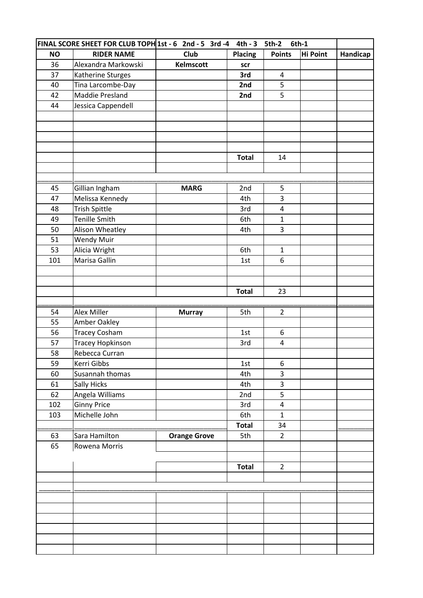|           | FINAL SCORE SHEET FOR CLUB TOPH 1st - 6 2nd - 5 3rd - 4 |                     | $4th - 3$    | <b>5th-2</b>   | 6th-1           |          |
|-----------|---------------------------------------------------------|---------------------|--------------|----------------|-----------------|----------|
| <b>NO</b> | <b>RIDER NAME</b>                                       | Club                | Placing      | <b>Points</b>  | <b>Hi Point</b> | Handicap |
| 36        | Alexandra Markowski                                     | Kelmscott           | scr          |                |                 |          |
| 37        | Katherine Sturges                                       |                     | 3rd          | 4              |                 |          |
| 40        | Tina Larcombe-Day                                       |                     | 2nd          | 5              |                 |          |
| 42        | Maddie Presland                                         |                     | 2nd          | 5              |                 |          |
| 44        | Jessica Cappendell                                      |                     |              |                |                 |          |
|           |                                                         |                     |              |                |                 |          |
|           |                                                         |                     |              |                |                 |          |
|           |                                                         |                     |              |                |                 |          |
|           |                                                         |                     |              |                |                 |          |
|           |                                                         |                     | <b>Total</b> | 14             |                 |          |
|           |                                                         |                     |              |                |                 |          |
|           |                                                         |                     |              |                |                 |          |
| 45        | Gillian Ingham                                          | <b>MARG</b>         | 2nd          | 5              |                 |          |
| 47        | Melissa Kennedy                                         |                     | 4th          | 3              |                 |          |
| 48        | <b>Trish Spittle</b>                                    |                     | 3rd          | 4              |                 |          |
| 49        | <b>Tenille Smith</b>                                    |                     | 6th          | $\mathbf{1}$   |                 |          |
| 50        | Alison Wheatley                                         |                     | 4th          | 3              |                 |          |
| 51        | <b>Wendy Muir</b>                                       |                     |              |                |                 |          |
| 53        | Alicia Wright                                           |                     | 6th          | $\mathbf{1}$   |                 |          |
| 101       | Marisa Gallin                                           |                     | 1st          | 6              |                 |          |
|           |                                                         |                     |              |                |                 |          |
|           |                                                         |                     |              |                |                 |          |
|           |                                                         |                     | <b>Total</b> | 23             |                 |          |
|           |                                                         |                     |              |                |                 |          |
| 54        | Alex Miller                                             | <b>Murray</b>       | 5th          | $\overline{2}$ |                 |          |
| 55        | Amber Oakley                                            |                     |              |                |                 |          |
| 56        | <b>Tracey Cosham</b>                                    |                     | 1st          | 6              |                 |          |
| 57        | <b>Tracey Hopkinson</b>                                 |                     | 3rd          | 4              |                 |          |
| 58        | Rebecca Curran                                          |                     |              |                |                 |          |
| 59        | Kerri Gibbs                                             |                     | 1st          | 6              |                 |          |
| 60        | Susannah thomas                                         |                     | 4th          | 3              |                 |          |
| 61        | Sally Hicks                                             |                     | 4th          | 3              |                 |          |
| 62        | Angela Williams                                         |                     | 2nd          | 5              |                 |          |
| 102       | <b>Ginny Price</b>                                      |                     | 3rd          | 4              |                 |          |
| 103       | Michelle John                                           |                     | 6th          | $\mathbf{1}$   |                 |          |
|           |                                                         |                     | <b>Total</b> | 34             |                 |          |
| 63        | Sara Hamilton                                           | <b>Orange Grove</b> | 5th          | $\overline{2}$ |                 |          |
| 65        | Rowena Morris                                           |                     |              |                |                 |          |
|           |                                                         |                     |              |                |                 |          |
|           |                                                         |                     | <b>Total</b> | $\overline{2}$ |                 |          |
|           |                                                         |                     |              |                |                 |          |
|           |                                                         |                     |              |                |                 |          |
|           |                                                         |                     |              |                |                 |          |
|           |                                                         |                     |              |                |                 |          |
|           |                                                         |                     |              |                |                 |          |
|           |                                                         |                     |              |                |                 |          |
|           |                                                         |                     |              |                |                 |          |
|           |                                                         |                     |              |                |                 |          |